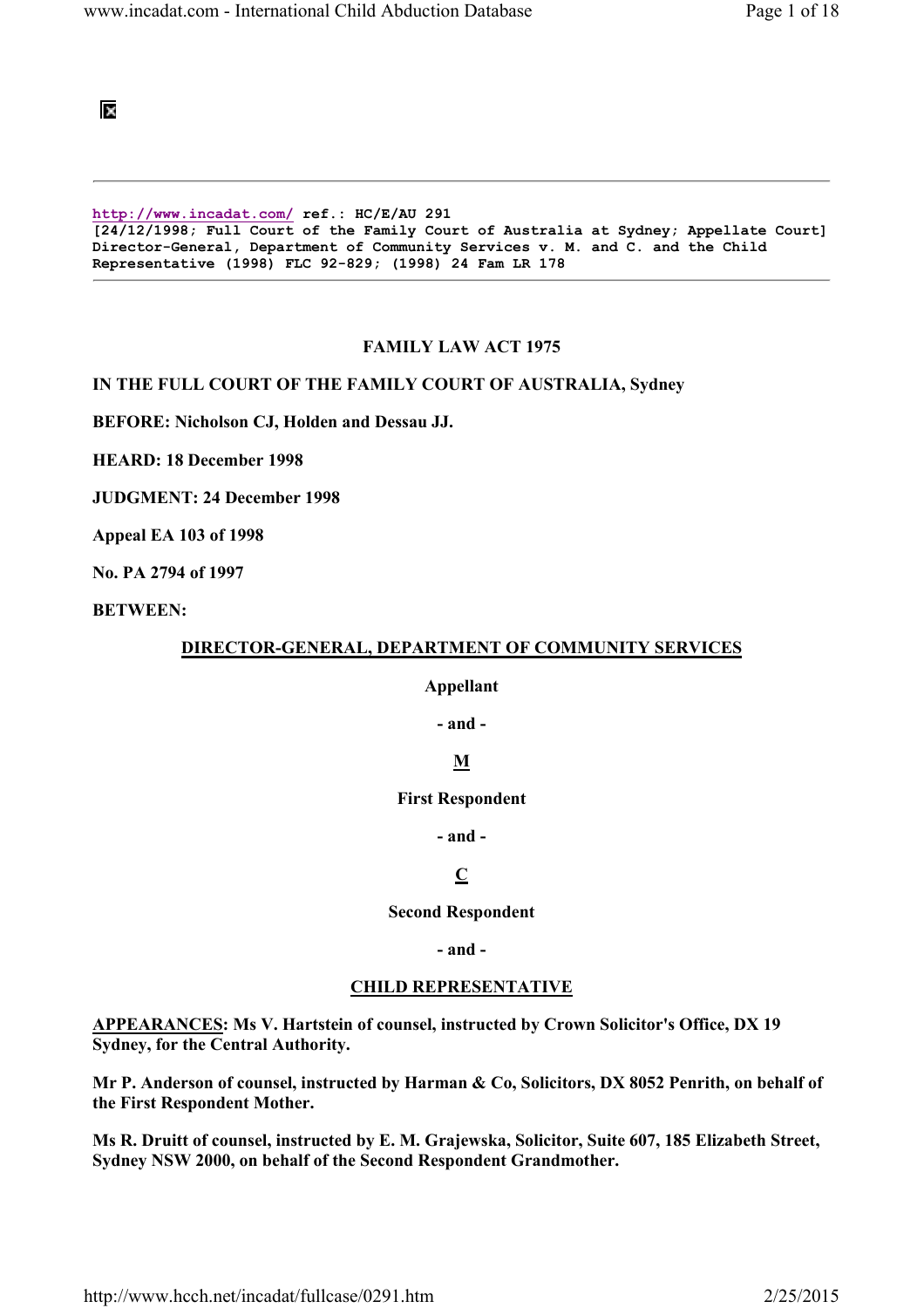匧

http://www.incadat.com/ ref.: HC/E/AU 291 [24/12/1998; Full Court of the Family Court of Australia at Sydney; Appellate Court] Director-General, Department of Community Services v. M. and C. and the Child Representative (1998) FLC 92-829; (1998) 24 Fam LR 178

#### FAMILY LAW ACT 1975

#### IN THE FULL COURT OF THE FAMILY COURT OF AUSTRALIA, Sydney

BEFORE: Nicholson CJ, Holden and Dessau JJ.

HEARD: 18 December 1998

JUDGMENT: 24 December 1998

Appeal EA 103 of 1998

No. PA 2794 of 1997

BETWEEN:

#### DIRECTOR-GENERAL, DEPARTMENT OF COMMUNITY SERVICES

#### Appellant

- and -

### M

#### First Respondent

- and -

### C

### Second Respondent

- and -

#### CHILD REPRESENTATIVE

APPEARANCES: Ms V. Hartstein of counsel, instructed by Crown Solicitor's Office, DX 19 Sydney, for the Central Authority.

Mr P. Anderson of counsel, instructed by Harman & Co, Solicitors, DX 8052 Penrith, on behalf of the First Respondent Mother.

Ms R. Druitt of counsel, instructed by E. M. Grajewska, Solicitor, Suite 607, 185 Elizabeth Street, Sydney NSW 2000, on behalf of the Second Respondent Grandmother.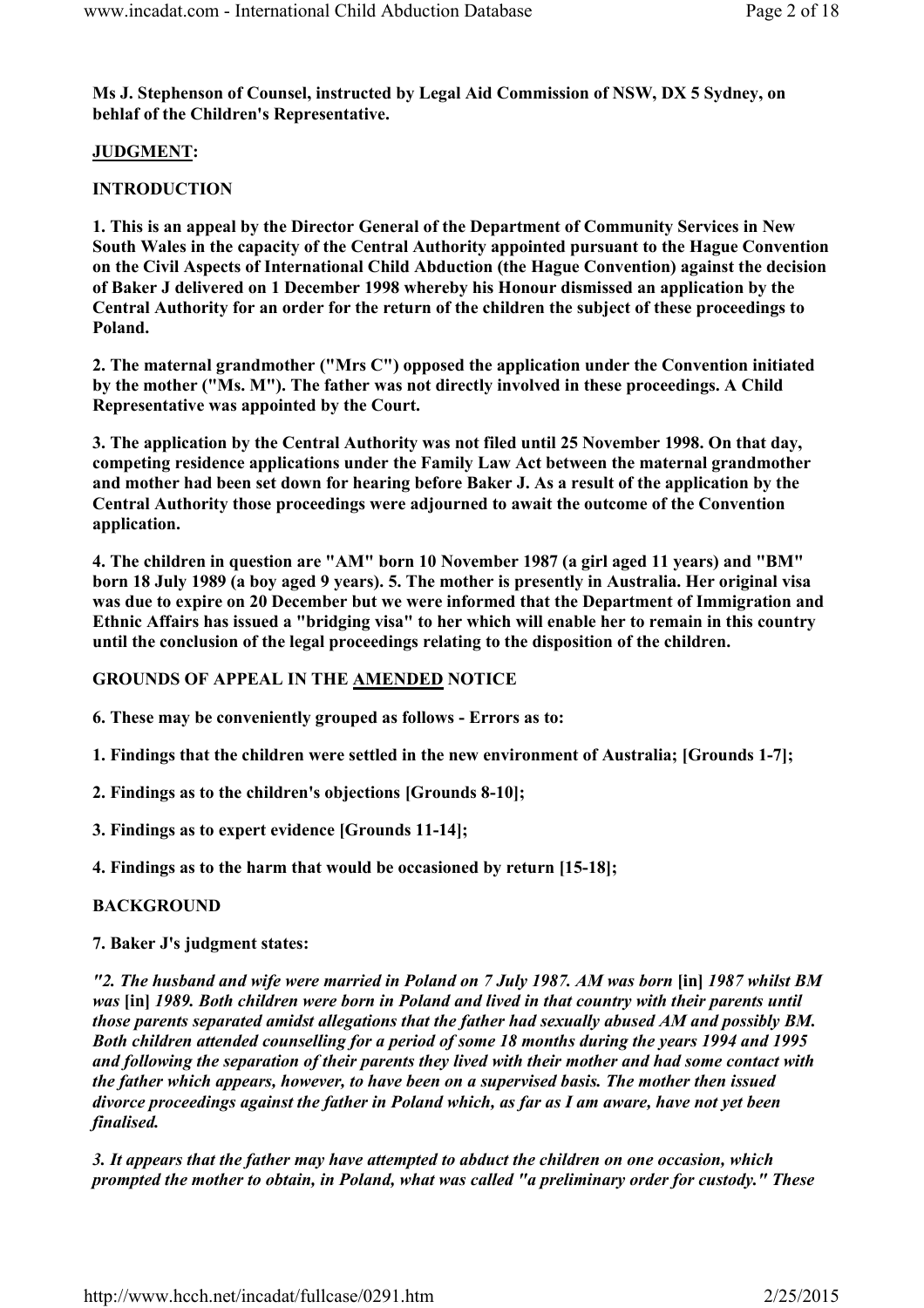Ms J. Stephenson of Counsel, instructed by Legal Aid Commission of NSW, DX 5 Sydney, on behlaf of the Children's Representative.

# JUDGMENT:

# **INTRODUCTION**

1. This is an appeal by the Director General of the Department of Community Services in New South Wales in the capacity of the Central Authority appointed pursuant to the Hague Convention on the Civil Aspects of International Child Abduction (the Hague Convention) against the decision of Baker J delivered on 1 December 1998 whereby his Honour dismissed an application by the Central Authority for an order for the return of the children the subject of these proceedings to Poland.

2. The maternal grandmother ("Mrs C") opposed the application under the Convention initiated by the mother ("Ms. M"). The father was not directly involved in these proceedings. A Child Representative was appointed by the Court.

3. The application by the Central Authority was not filed until 25 November 1998. On that day, competing residence applications under the Family Law Act between the maternal grandmother and mother had been set down for hearing before Baker J. As a result of the application by the Central Authority those proceedings were adjourned to await the outcome of the Convention application.

4. The children in question are "AM" born 10 November 1987 (a girl aged 11 years) and "BM" born 18 July 1989 (a boy aged 9 years). 5. The mother is presently in Australia. Her original visa was due to expire on 20 December but we were informed that the Department of Immigration and Ethnic Affairs has issued a "bridging visa" to her which will enable her to remain in this country until the conclusion of the legal proceedings relating to the disposition of the children.

# GROUNDS OF APPEAL IN THE AMENDED NOTICE

6. These may be conveniently grouped as follows - Errors as to:

1. Findings that the children were settled in the new environment of Australia; [Grounds 1-7];

2. Findings as to the children's objections [Grounds 8-10];

3. Findings as to expert evidence [Grounds 11-14];

4. Findings as to the harm that would be occasioned by return [15-18];

# **BACKGROUND**

# 7. Baker J's judgment states:

"2. The husband and wife were married in Poland on 7 July 1987. AM was born [in] 1987 whilst BM was [in] 1989. Both children were born in Poland and lived in that country with their parents until those parents separated amidst allegations that the father had sexually abused AM and possibly BM. Both children attended counselling for a period of some 18 months during the years 1994 and 1995 and following the separation of their parents they lived with their mother and had some contact with the father which appears, however, to have been on a supervised basis. The mother then issued divorce proceedings against the father in Poland which, as far as I am aware, have not yet been finalised.

3. It appears that the father may have attempted to abduct the children on one occasion, which prompted the mother to obtain, in Poland, what was called "a preliminary order for custody." These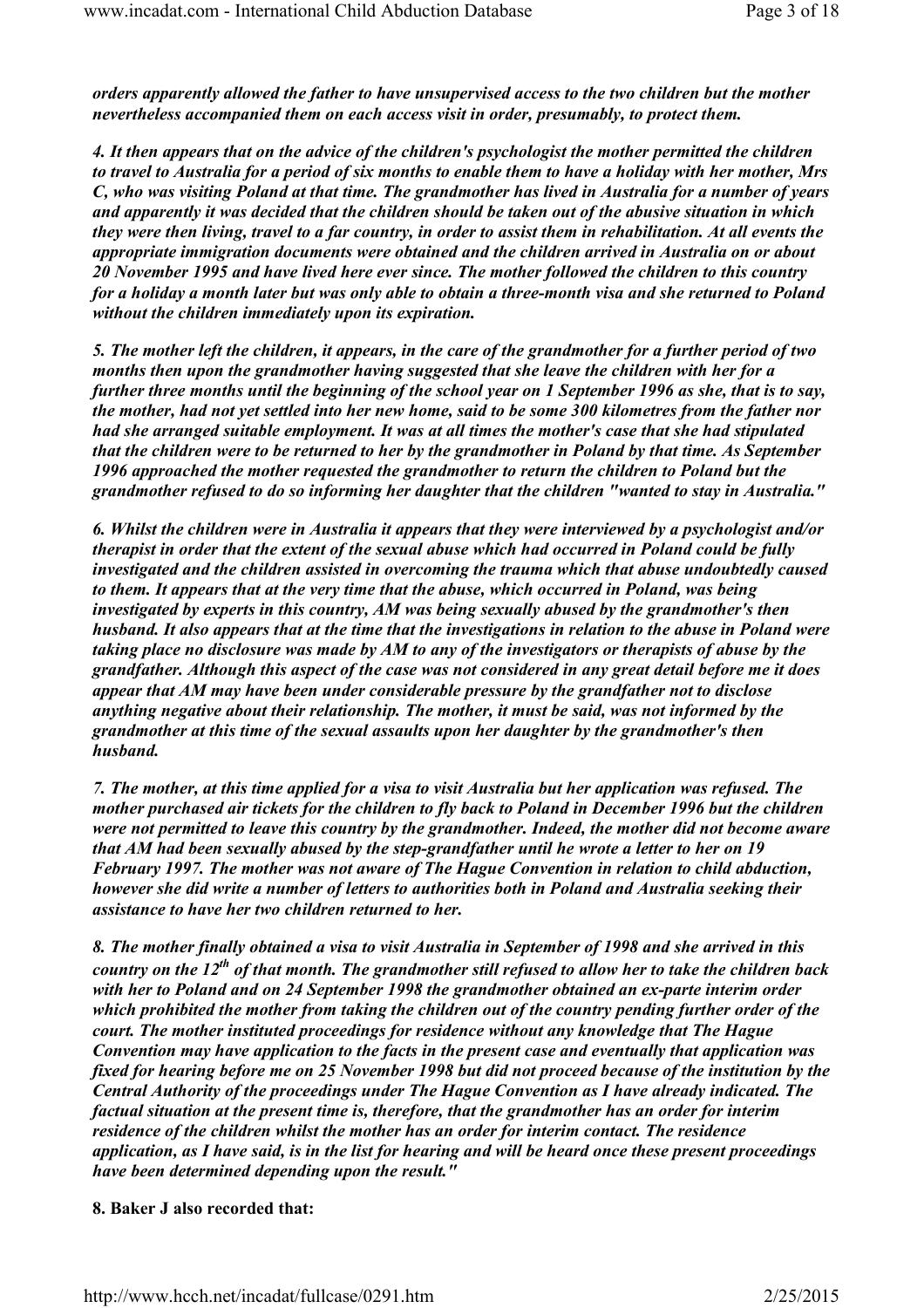orders apparently allowed the father to have unsupervised access to the two children but the mother nevertheless accompanied them on each access visit in order, presumably, to protect them.

4. It then appears that on the advice of the children's psychologist the mother permitted the children to travel to Australia for a period of six months to enable them to have a holiday with her mother, Mrs C, who was visiting Poland at that time. The grandmother has lived in Australia for a number of years and apparently it was decided that the children should be taken out of the abusive situation in which they were then living, travel to a far country, in order to assist them in rehabilitation. At all events the appropriate immigration documents were obtained and the children arrived in Australia on or about 20 November 1995 and have lived here ever since. The mother followed the children to this country for a holiday a month later but was only able to obtain a three-month visa and she returned to Poland without the children immediately upon its expiration.

5. The mother left the children, it appears, in the care of the grandmother for a further period of two months then upon the grandmother having suggested that she leave the children with her for a further three months until the beginning of the school year on 1 September 1996 as she, that is to say, the mother, had not yet settled into her new home, said to be some 300 kilometres from the father nor had she arranged suitable employment. It was at all times the mother's case that she had stipulated that the children were to be returned to her by the grandmother in Poland by that time. As September 1996 approached the mother requested the grandmother to return the children to Poland but the grandmother refused to do so informing her daughter that the children "wanted to stay in Australia."

6. Whilst the children were in Australia it appears that they were interviewed by a psychologist and/or therapist in order that the extent of the sexual abuse which had occurred in Poland could be fully investigated and the children assisted in overcoming the trauma which that abuse undoubtedly caused to them. It appears that at the very time that the abuse, which occurred in Poland, was being investigated by experts in this country, AM was being sexually abused by the grandmother's then husband. It also appears that at the time that the investigations in relation to the abuse in Poland were taking place no disclosure was made by AM to any of the investigators or therapists of abuse by the grandfather. Although this aspect of the case was not considered in any great detail before me it does appear that AM may have been under considerable pressure by the grandfather not to disclose anything negative about their relationship. The mother, it must be said, was not informed by the grandmother at this time of the sexual assaults upon her daughter by the grandmother's then husband.

7. The mother, at this time applied for a visa to visit Australia but her application was refused. The mother purchased air tickets for the children to fly back to Poland in December 1996 but the children were not permitted to leave this country by the grandmother. Indeed, the mother did not become aware that AM had been sexually abused by the step-grandfather until he wrote a letter to her on 19 February 1997. The mother was not aware of The Hague Convention in relation to child abduction, however she did write a number of letters to authorities both in Poland and Australia seeking their assistance to have her two children returned to her.

8. The mother finally obtained a visa to visit Australia in September of 1998 and she arrived in this country on the  $12^{th}$  of that month. The grandmother still refused to allow her to take the children back with her to Poland and on 24 September 1998 the grandmother obtained an ex-parte interim order which prohibited the mother from taking the children out of the country pending further order of the court. The mother instituted proceedings for residence without any knowledge that The Hague Convention may have application to the facts in the present case and eventually that application was fixed for hearing before me on 25 November 1998 but did not proceed because of the institution by the Central Authority of the proceedings under The Hague Convention as I have already indicated. The factual situation at the present time is, therefore, that the grandmother has an order for interim residence of the children whilst the mother has an order for interim contact. The residence application, as I have said, is in the list for hearing and will be heard once these present proceedings have been determined depending upon the result."

#### 8. Baker J also recorded that: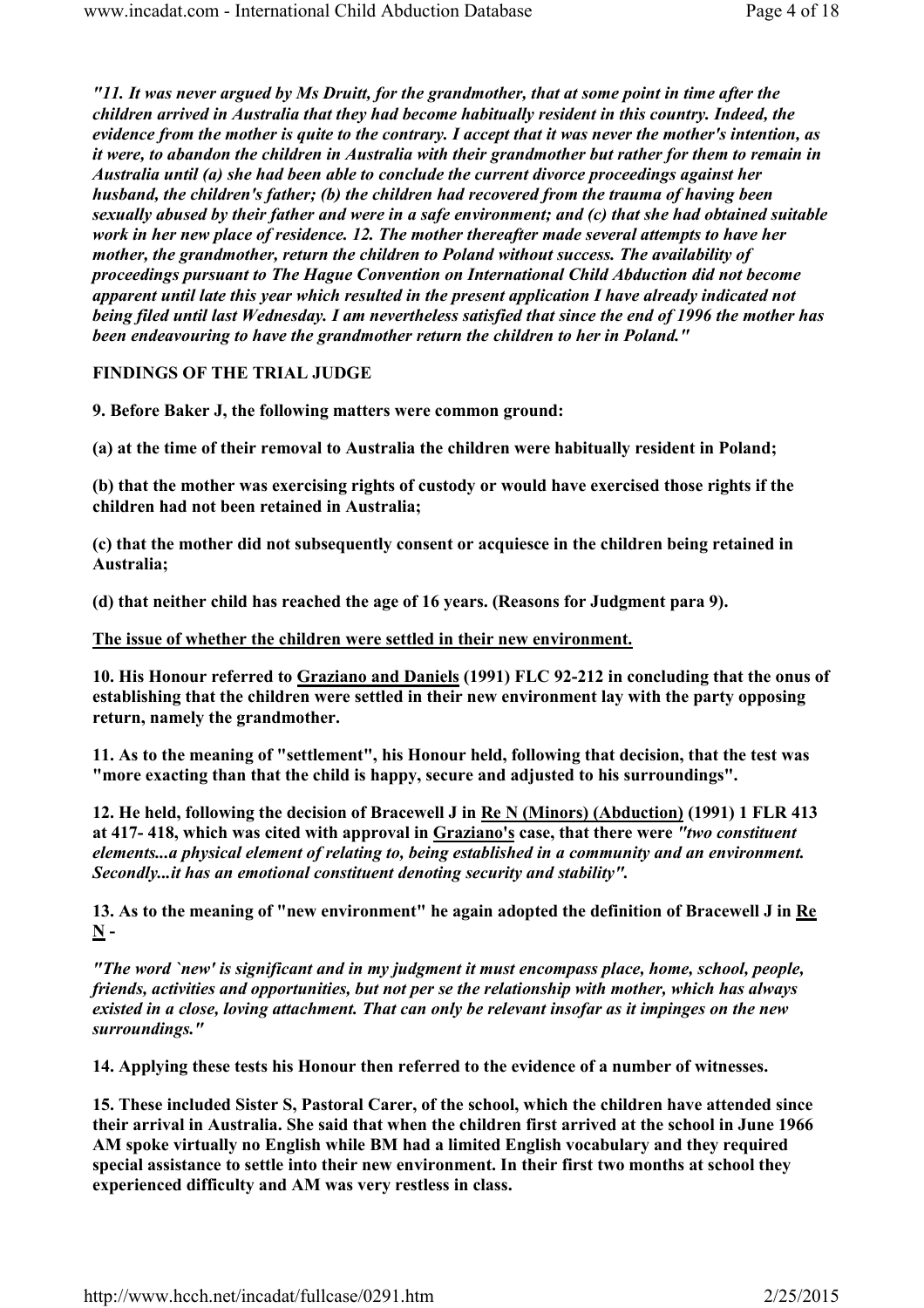"11. It was never argued by Ms Druitt, for the grandmother, that at some point in time after the children arrived in Australia that they had become habitually resident in this country. Indeed, the evidence from the mother is quite to the contrary. I accept that it was never the mother's intention, as it were, to abandon the children in Australia with their grandmother but rather for them to remain in Australia until (a) she had been able to conclude the current divorce proceedings against her husband, the children's father; (b) the children had recovered from the trauma of having been sexually abused by their father and were in a safe environment; and (c) that she had obtained suitable work in her new place of residence. 12. The mother thereafter made several attempts to have her mother, the grandmother, return the children to Poland without success. The availability of proceedings pursuant to The Hague Convention on International Child Abduction did not become apparent until late this year which resulted in the present application I have already indicated not being filed until last Wednesday. I am nevertheless satisfied that since the end of 1996 the mother has been endeavouring to have the grandmother return the children to her in Poland."

FINDINGS OF THE TRIAL JUDGE

9. Before Baker J, the following matters were common ground:

(a) at the time of their removal to Australia the children were habitually resident in Poland;

(b) that the mother was exercising rights of custody or would have exercised those rights if the children had not been retained in Australia;

(c) that the mother did not subsequently consent or acquiesce in the children being retained in Australia;

(d) that neither child has reached the age of 16 years. (Reasons for Judgment para 9).

The issue of whether the children were settled in their new environment.

10. His Honour referred to Graziano and Daniels (1991) FLC 92-212 in concluding that the onus of establishing that the children were settled in their new environment lay with the party opposing return, namely the grandmother.

11. As to the meaning of "settlement", his Honour held, following that decision, that the test was "more exacting than that the child is happy, secure and adjusted to his surroundings".

12. He held, following the decision of Bracewell J in Re N (Minors) (Abduction) (1991) 1 FLR 413 at 417- 418, which was cited with approval in Graziano's case, that there were "two constituent elements...a physical element of relating to, being established in a community and an environment. Secondly...it has an emotional constituent denoting security and stability".

13. As to the meaning of "new environment" he again adopted the definition of Bracewell J in Re  $\mathbf N$  -

"The word `new' is significant and in my judgment it must encompass place, home, school, people, friends, activities and opportunities, but not per se the relationship with mother, which has always existed in a close, loving attachment. That can only be relevant insofar as it impinges on the new surroundings."

14. Applying these tests his Honour then referred to the evidence of a number of witnesses.

15. These included Sister S, Pastoral Carer, of the school, which the children have attended since their arrival in Australia. She said that when the children first arrived at the school in June 1966 AM spoke virtually no English while BM had a limited English vocabulary and they required special assistance to settle into their new environment. In their first two months at school they experienced difficulty and AM was very restless in class.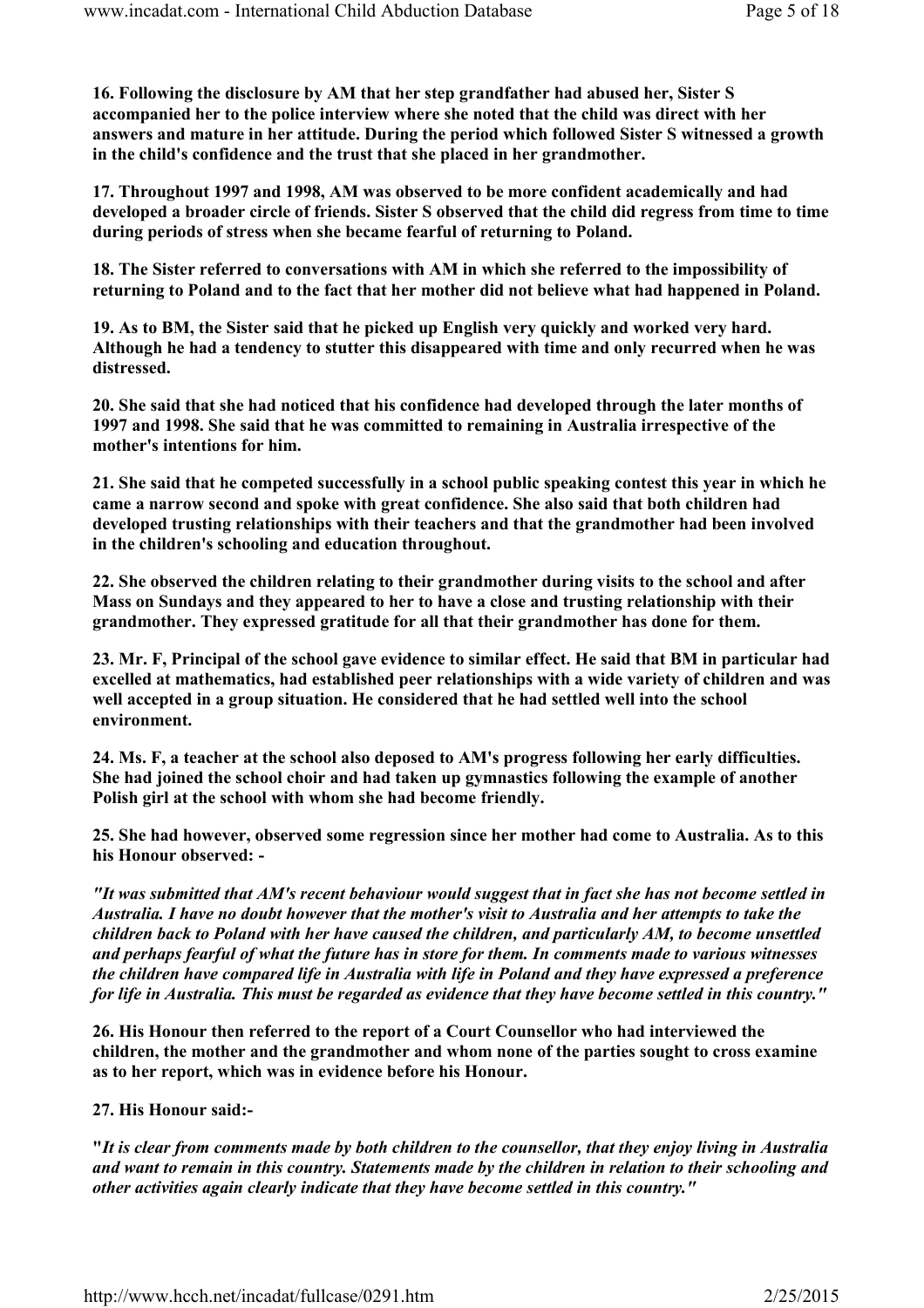16. Following the disclosure by AM that her step grandfather had abused her, Sister S accompanied her to the police interview where she noted that the child was direct with her answers and mature in her attitude. During the period which followed Sister S witnessed a growth in the child's confidence and the trust that she placed in her grandmother.

17. Throughout 1997 and 1998, AM was observed to be more confident academically and had developed a broader circle of friends. Sister S observed that the child did regress from time to time during periods of stress when she became fearful of returning to Poland.

18. The Sister referred to conversations with AM in which she referred to the impossibility of returning to Poland and to the fact that her mother did not believe what had happened in Poland.

19. As to BM, the Sister said that he picked up English very quickly and worked very hard. Although he had a tendency to stutter this disappeared with time and only recurred when he was distressed.

20. She said that she had noticed that his confidence had developed through the later months of 1997 and 1998. She said that he was committed to remaining in Australia irrespective of the mother's intentions for him.

21. She said that he competed successfully in a school public speaking contest this year in which he came a narrow second and spoke with great confidence. She also said that both children had developed trusting relationships with their teachers and that the grandmother had been involved in the children's schooling and education throughout.

22. She observed the children relating to their grandmother during visits to the school and after Mass on Sundays and they appeared to her to have a close and trusting relationship with their grandmother. They expressed gratitude for all that their grandmother has done for them.

23. Mr. F, Principal of the school gave evidence to similar effect. He said that BM in particular had excelled at mathematics, had established peer relationships with a wide variety of children and was well accepted in a group situation. He considered that he had settled well into the school environment.

24. Ms. F, a teacher at the school also deposed to AM's progress following her early difficulties. She had joined the school choir and had taken up gymnastics following the example of another Polish girl at the school with whom she had become friendly.

25. She had however, observed some regression since her mother had come to Australia. As to this his Honour observed: -

"It was submitted that AM's recent behaviour would suggest that in fact she has not become settled in Australia. I have no doubt however that the mother's visit to Australia and her attempts to take the children back to Poland with her have caused the children, and particularly AM, to become unsettled and perhaps fearful of what the future has in store for them. In comments made to various witnesses the children have compared life in Australia with life in Poland and they have expressed a preference for life in Australia. This must be regarded as evidence that they have become settled in this country."

26. His Honour then referred to the report of a Court Counsellor who had interviewed the children, the mother and the grandmother and whom none of the parties sought to cross examine as to her report, which was in evidence before his Honour.

### 27. His Honour said:-

"It is clear from comments made by both children to the counsellor, that they enjoy living in Australia and want to remain in this country. Statements made by the children in relation to their schooling and other activities again clearly indicate that they have become settled in this country."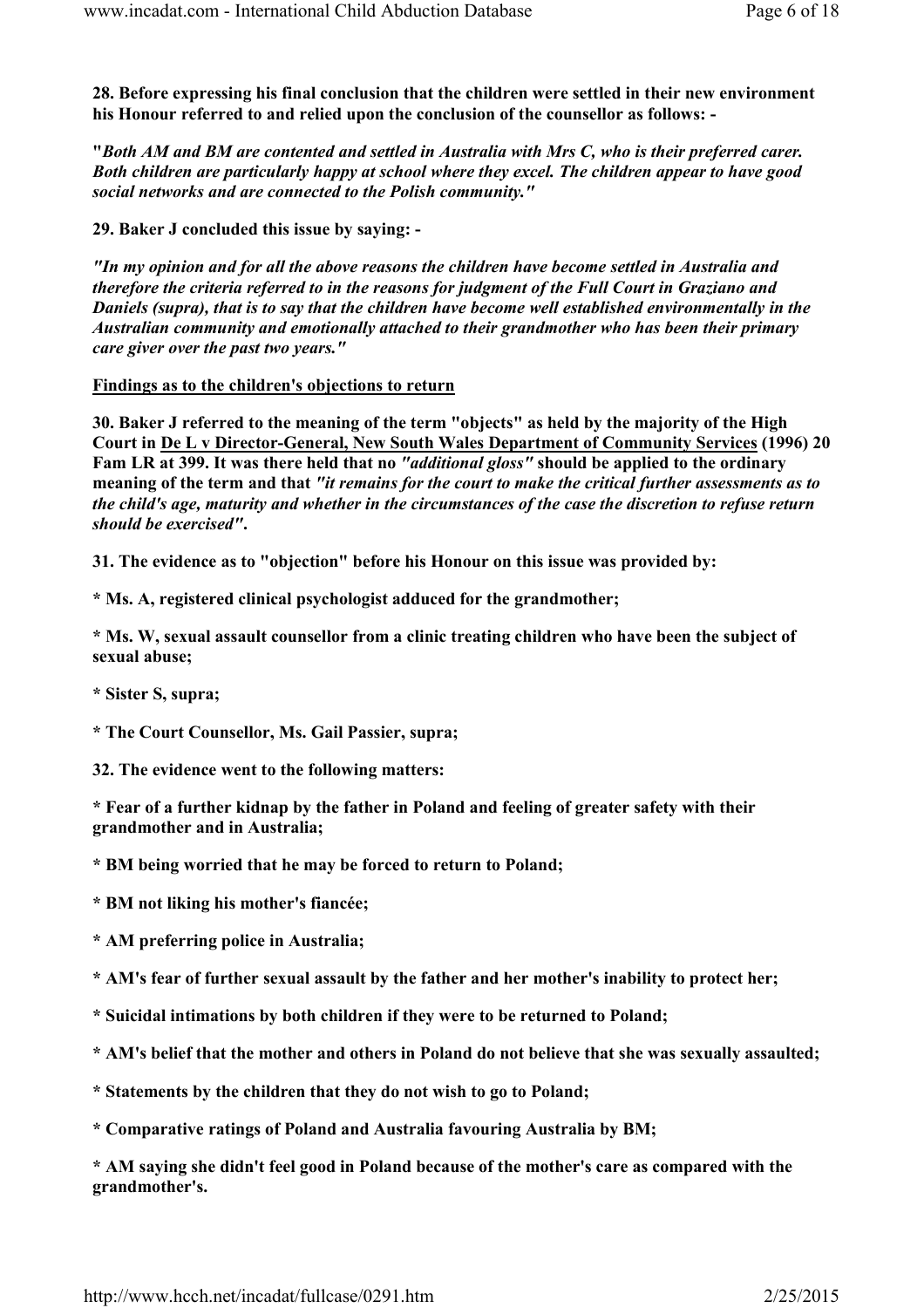28. Before expressing his final conclusion that the children were settled in their new environment his Honour referred to and relied upon the conclusion of the counsellor as follows: -

"Both AM and BM are contented and settled in Australia with Mrs C, who is their preferred carer. Both children are particularly happy at school where they excel. The children appear to have good social networks and are connected to the Polish community."

29. Baker J concluded this issue by saying: -

"In my opinion and for all the above reasons the children have become settled in Australia and therefore the criteria referred to in the reasons for judgment of the Full Court in Graziano and Daniels (supra), that is to say that the children have become well established environmentally in the Australian community and emotionally attached to their grandmother who has been their primary care giver over the past two years."

### Findings as to the children's objections to return

30. Baker J referred to the meaning of the term "objects" as held by the majority of the High Court in De L v Director-General, New South Wales Department of Community Services (1996) 20 Fam LR at 399. It was there held that no "additional gloss" should be applied to the ordinary meaning of the term and that "it remains for the court to make the critical further assessments as to the child's age, maturity and whether in the circumstances of the case the discretion to refuse return should be exercised".

31. The evidence as to "objection" before his Honour on this issue was provided by:

\* Ms. A, registered clinical psychologist adduced for the grandmother;

\* Ms. W, sexual assault counsellor from a clinic treating children who have been the subject of sexual abuse;

\* Sister S, supra;

\* The Court Counsellor, Ms. Gail Passier, supra;

32. The evidence went to the following matters:

\* Fear of a further kidnap by the father in Poland and feeling of greater safety with their grandmother and in Australia;

\* BM being worried that he may be forced to return to Poland;

\* BM not liking his mother's fiancée;

\* AM preferring police in Australia;

\* AM's fear of further sexual assault by the father and her mother's inability to protect her;

\* Suicidal intimations by both children if they were to be returned to Poland;

- \* AM's belief that the mother and others in Poland do not believe that she was sexually assaulted;
- \* Statements by the children that they do not wish to go to Poland;

\* Comparative ratings of Poland and Australia favouring Australia by BM;

\* AM saying she didn't feel good in Poland because of the mother's care as compared with the grandmother's.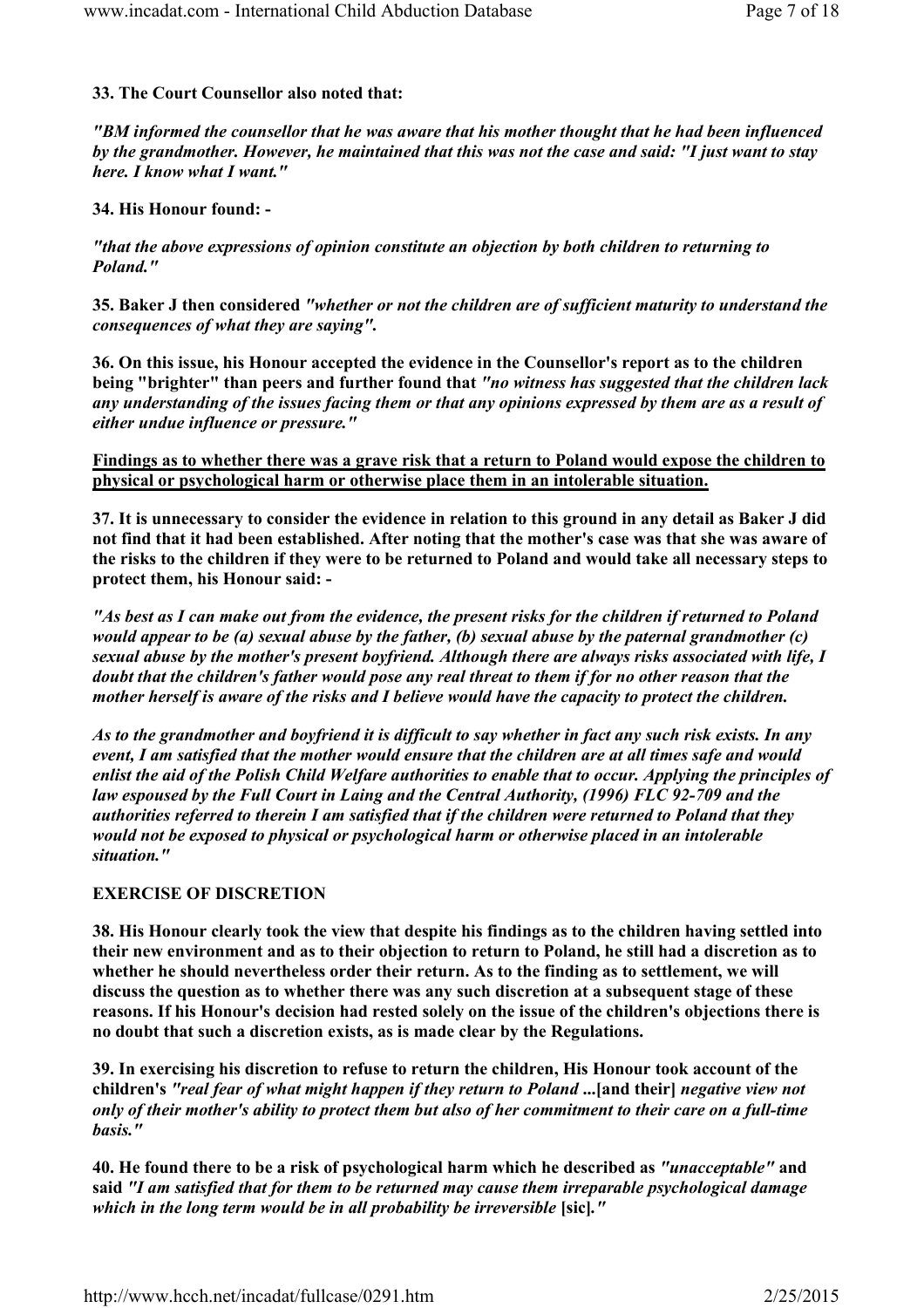# 33. The Court Counsellor also noted that:

"BM informed the counsellor that he was aware that his mother thought that he had been influenced by the grandmother. However, he maintained that this was not the case and said: "I just want to stay here. I know what I want."

# 34. His Honour found: -

"that the above expressions of opinion constitute an objection by both children to returning to Poland."

35. Baker J then considered "whether or not the children are of sufficient maturity to understand the consequences of what they are saying".

36. On this issue, his Honour accepted the evidence in the Counsellor's report as to the children being "brighter" than peers and further found that "no witness has suggested that the children lack any understanding of the issues facing them or that any opinions expressed by them are as a result of either undue influence or pressure."

Findings as to whether there was a grave risk that a return to Poland would expose the children to physical or psychological harm or otherwise place them in an intolerable situation.

37. It is unnecessary to consider the evidence in relation to this ground in any detail as Baker J did not find that it had been established. After noting that the mother's case was that she was aware of the risks to the children if they were to be returned to Poland and would take all necessary steps to protect them, his Honour said: -

"As best as I can make out from the evidence, the present risks for the children if returned to Poland would appear to be (a) sexual abuse by the father, (b) sexual abuse by the paternal grandmother (c) sexual abuse by the mother's present boyfriend. Although there are always risks associated with life, I doubt that the children's father would pose any real threat to them if for no other reason that the mother herself is aware of the risks and I believe would have the capacity to protect the children.

As to the grandmother and boyfriend it is difficult to say whether in fact any such risk exists. In any event, I am satisfied that the mother would ensure that the children are at all times safe and would enlist the aid of the Polish Child Welfare authorities to enable that to occur. Applying the principles of law espoused by the Full Court in Laing and the Central Authority, (1996) FLC 92-709 and the authorities referred to therein I am satisfied that if the children were returned to Poland that they would not be exposed to physical or psychological harm or otherwise placed in an intolerable situation."

# EXERCISE OF DISCRETION

38. His Honour clearly took the view that despite his findings as to the children having settled into their new environment and as to their objection to return to Poland, he still had a discretion as to whether he should nevertheless order their return. As to the finding as to settlement, we will discuss the question as to whether there was any such discretion at a subsequent stage of these reasons. If his Honour's decision had rested solely on the issue of the children's objections there is no doubt that such a discretion exists, as is made clear by the Regulations.

39. In exercising his discretion to refuse to return the children, His Honour took account of the children's "real fear of what might happen if they return to Poland ...[and their] negative view not only of their mother's ability to protect them but also of her commitment to their care on a full-time basis."

40. He found there to be a risk of psychological harm which he described as "unacceptable" and said "I am satisfied that for them to be returned may cause them irreparable psychological damage which in the long term would be in all probability be irreversible [sic]."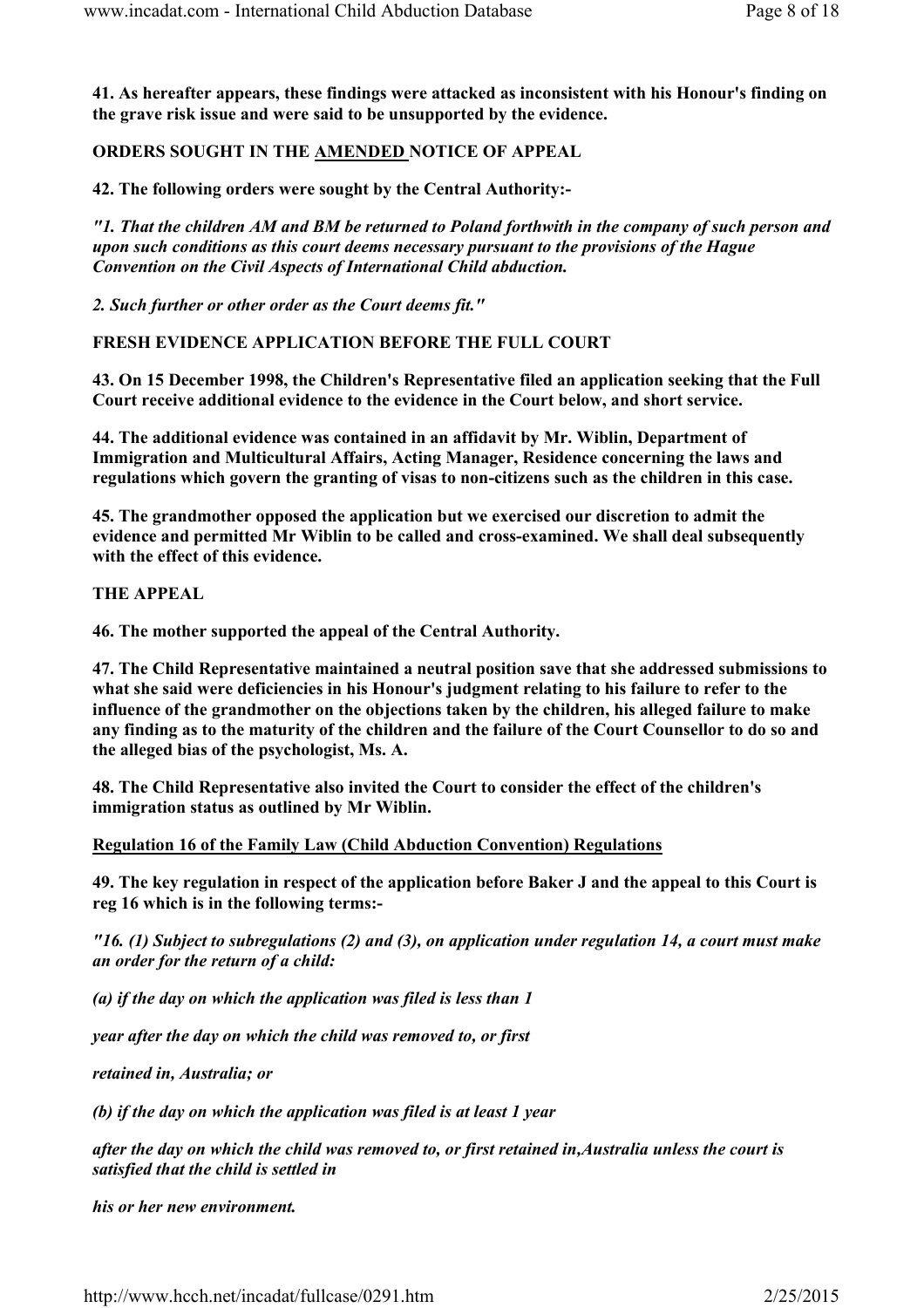41. As hereafter appears, these findings were attacked as inconsistent with his Honour's finding on the grave risk issue and were said to be unsupported by the evidence.

ORDERS SOUGHT IN THE AMENDED NOTICE OF APPEAL

42. The following orders were sought by the Central Authority:-

"1. That the children AM and BM be returned to Poland forthwith in the company of such person and upon such conditions as this court deems necessary pursuant to the provisions of the Hague Convention on the Civil Aspects of International Child abduction.

2. Such further or other order as the Court deems fit."

FRESH EVIDENCE APPLICATION BEFORE THE FULL COURT

43. On 15 December 1998, the Children's Representative filed an application seeking that the Full Court receive additional evidence to the evidence in the Court below, and short service.

44. The additional evidence was contained in an affidavit by Mr. Wiblin, Department of Immigration and Multicultural Affairs, Acting Manager, Residence concerning the laws and regulations which govern the granting of visas to non-citizens such as the children in this case.

45. The grandmother opposed the application but we exercised our discretion to admit the evidence and permitted Mr Wiblin to be called and cross-examined. We shall deal subsequently with the effect of this evidence.

THE APPEAL

46. The mother supported the appeal of the Central Authority.

47. The Child Representative maintained a neutral position save that she addressed submissions to what she said were deficiencies in his Honour's judgment relating to his failure to refer to the influence of the grandmother on the objections taken by the children, his alleged failure to make any finding as to the maturity of the children and the failure of the Court Counsellor to do so and the alleged bias of the psychologist, Ms. A.

48. The Child Representative also invited the Court to consider the effect of the children's immigration status as outlined by Mr Wiblin.

Regulation 16 of the Family Law (Child Abduction Convention) Regulations

49. The key regulation in respect of the application before Baker J and the appeal to this Court is reg 16 which is in the following terms:-

"16. (1) Subject to subregulations (2) and (3), on application under regulation 14, a court must make an order for the return of a child:

(a) if the day on which the application was filed is less than 1

year after the day on which the child was removed to, or first

retained in, Australia; or

(b) if the day on which the application was filed is at least 1 year

after the day on which the child was removed to, or first retained in,Australia unless the court is satisfied that the child is settled in

his or her new environment.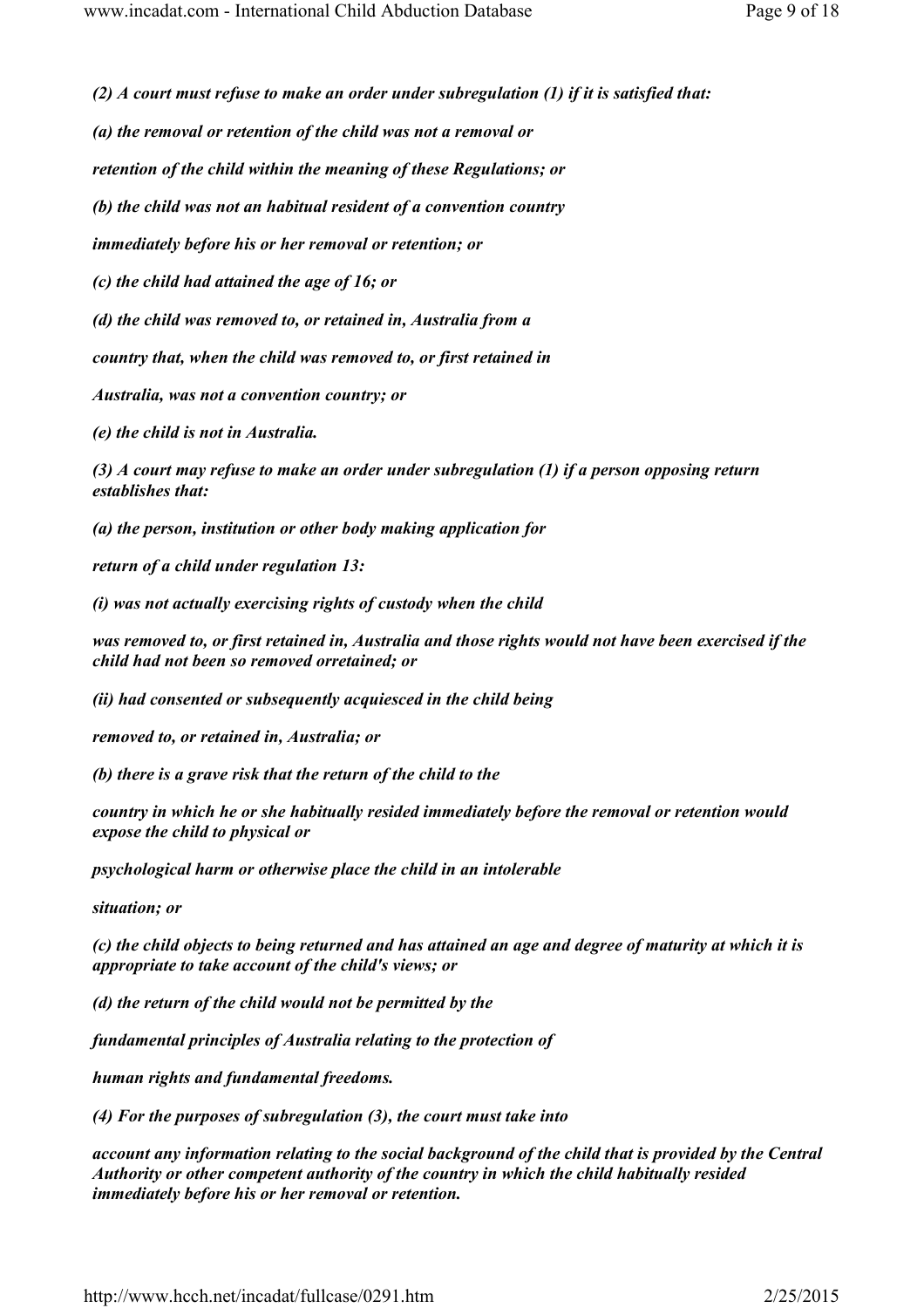(2)  $\Lambda$  court must refuse to make an order under subregulation (1) if it is satisfied that:

(a) the removal or retention of the child was not a removal or

retention of the child within the meaning of these Regulations; or

(b) the child was not an habitual resident of a convention country

immediately before his or her removal or retention; or

(c) the child had attained the age of 16; or

(d) the child was removed to, or retained in, Australia from a

country that, when the child was removed to, or first retained in

Australia, was not a convention country; or

(e) the child is not in Australia.

(3) A court may refuse to make an order under subregulation (1) if a person opposing return establishes that:

(a) the person, institution or other body making application for

return of a child under regulation 13:

(i) was not actually exercising rights of custody when the child

was removed to, or first retained in, Australia and those rights would not have been exercised if the child had not been so removed orretained; or

(ii) had consented or subsequently acquiesced in the child being

removed to, or retained in, Australia; or

(b) there is a grave risk that the return of the child to the

country in which he or she habitually resided immediately before the removal or retention would expose the child to physical or

psychological harm or otherwise place the child in an intolerable

situation; or

(c) the child objects to being returned and has attained an age and degree of maturity at which it is appropriate to take account of the child's views; or

(d) the return of the child would not be permitted by the

fundamental principles of Australia relating to the protection of

human rights and fundamental freedoms.

(4) For the purposes of subregulation (3), the court must take into

account any information relating to the social background of the child that is provided by the Central Authority or other competent authority of the country in which the child habitually resided immediately before his or her removal or retention.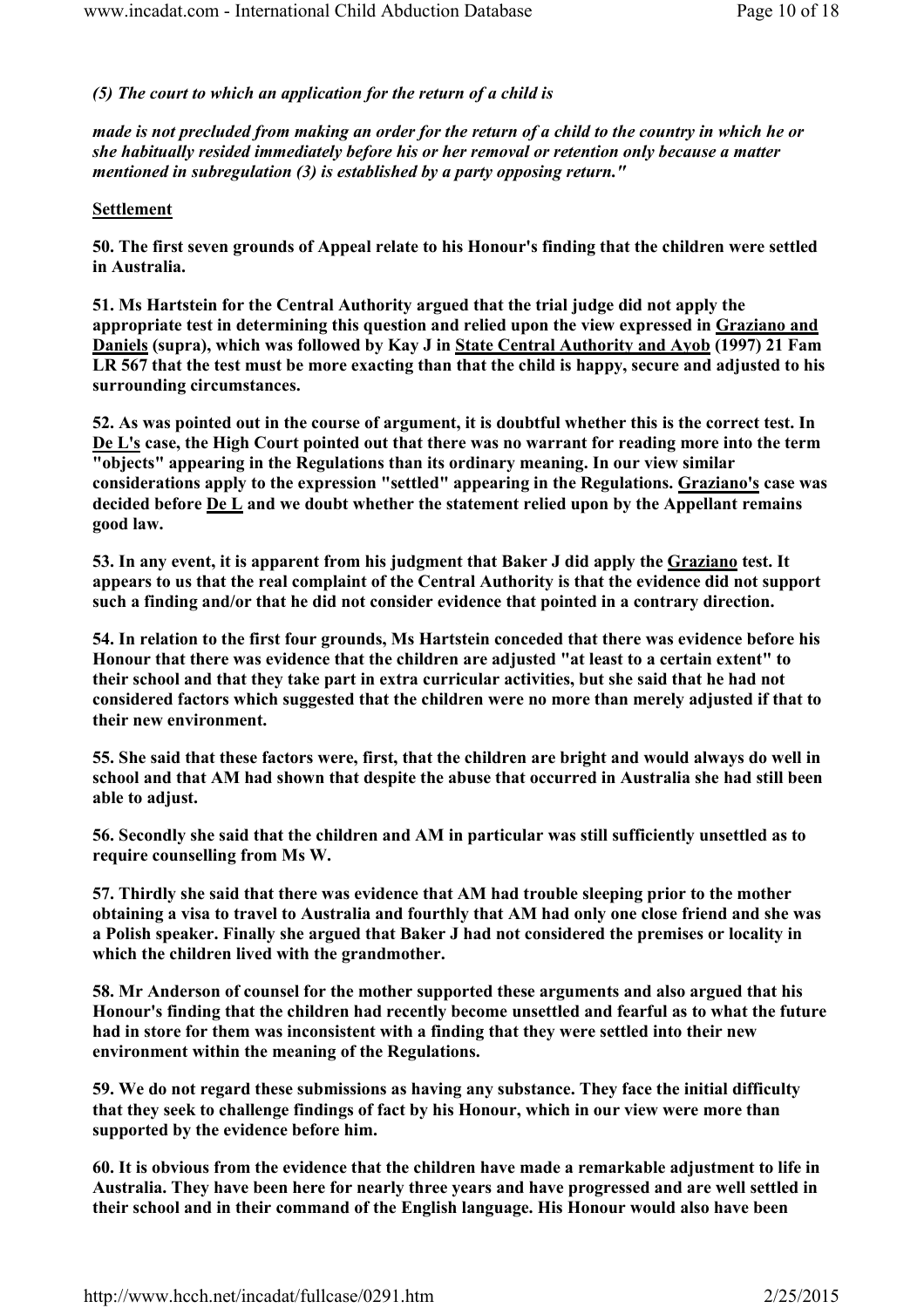# (5) The court to which an application for the return of a child is

made is not precluded from making an order for the return of a child to the country in which he or she habitually resided immediately before his or her removal or retention only because a matter mentioned in subregulation (3) is established by a party opposing return."

### **Settlement**

50. The first seven grounds of Appeal relate to his Honour's finding that the children were settled in Australia.

51. Ms Hartstein for the Central Authority argued that the trial judge did not apply the appropriate test in determining this question and relied upon the view expressed in Graziano and Daniels (supra), which was followed by Kay J in State Central Authority and Ayob (1997) 21 Fam LR 567 that the test must be more exacting than that the child is happy, secure and adjusted to his surrounding circumstances.

52. As was pointed out in the course of argument, it is doubtful whether this is the correct test. In De L's case, the High Court pointed out that there was no warrant for reading more into the term "objects" appearing in the Regulations than its ordinary meaning. In our view similar considerations apply to the expression "settled" appearing in the Regulations. Graziano's case was decided before  $\underline{De L}$  and we doubt whether the statement relied upon by the Appellant remains good law.

53. In any event, it is apparent from his judgment that Baker J did apply the Graziano test. It appears to us that the real complaint of the Central Authority is that the evidence did not support such a finding and/or that he did not consider evidence that pointed in a contrary direction.

54. In relation to the first four grounds, Ms Hartstein conceded that there was evidence before his Honour that there was evidence that the children are adjusted "at least to a certain extent" to their school and that they take part in extra curricular activities, but she said that he had not considered factors which suggested that the children were no more than merely adjusted if that to their new environment.

55. She said that these factors were, first, that the children are bright and would always do well in school and that AM had shown that despite the abuse that occurred in Australia she had still been able to adjust.

56. Secondly she said that the children and AM in particular was still sufficiently unsettled as to require counselling from Ms W.

57. Thirdly she said that there was evidence that AM had trouble sleeping prior to the mother obtaining a visa to travel to Australia and fourthly that AM had only one close friend and she was a Polish speaker. Finally she argued that Baker J had not considered the premises or locality in which the children lived with the grandmother.

58. Mr Anderson of counsel for the mother supported these arguments and also argued that his Honour's finding that the children had recently become unsettled and fearful as to what the future had in store for them was inconsistent with a finding that they were settled into their new environment within the meaning of the Regulations.

59. We do not regard these submissions as having any substance. They face the initial difficulty that they seek to challenge findings of fact by his Honour, which in our view were more than supported by the evidence before him.

60. It is obvious from the evidence that the children have made a remarkable adjustment to life in Australia. They have been here for nearly three years and have progressed and are well settled in their school and in their command of the English language. His Honour would also have been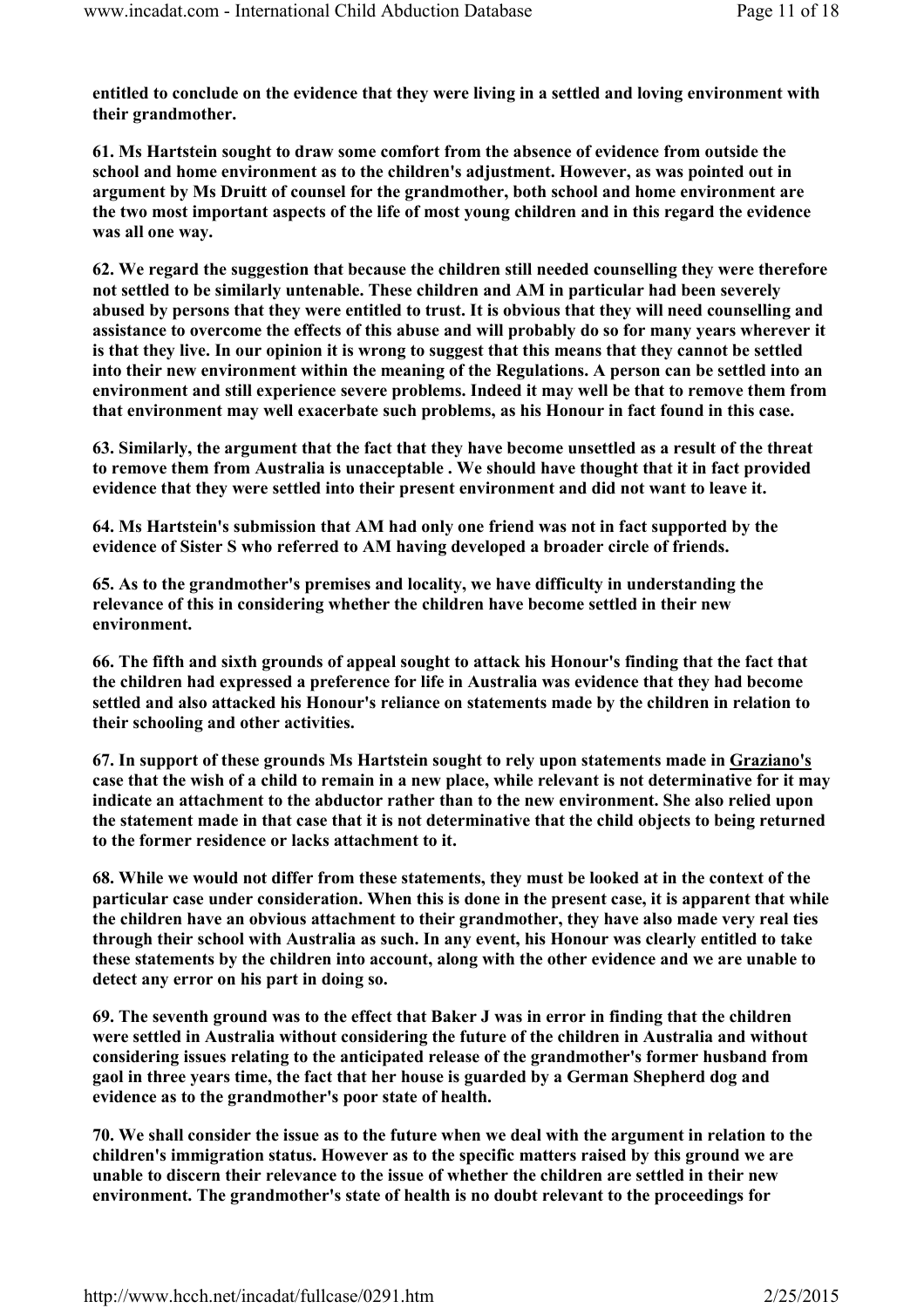entitled to conclude on the evidence that they were living in a settled and loving environment with their grandmother.

61. Ms Hartstein sought to draw some comfort from the absence of evidence from outside the school and home environment as to the children's adjustment. However, as was pointed out in argument by Ms Druitt of counsel for the grandmother, both school and home environment are the two most important aspects of the life of most young children and in this regard the evidence was all one way.

62. We regard the suggestion that because the children still needed counselling they were therefore not settled to be similarly untenable. These children and AM in particular had been severely abused by persons that they were entitled to trust. It is obvious that they will need counselling and assistance to overcome the effects of this abuse and will probably do so for many years wherever it is that they live. In our opinion it is wrong to suggest that this means that they cannot be settled into their new environment within the meaning of the Regulations. A person can be settled into an environment and still experience severe problems. Indeed it may well be that to remove them from that environment may well exacerbate such problems, as his Honour in fact found in this case.

63. Similarly, the argument that the fact that they have become unsettled as a result of the threat to remove them from Australia is unacceptable . We should have thought that it in fact provided evidence that they were settled into their present environment and did not want to leave it.

64. Ms Hartstein's submission that AM had only one friend was not in fact supported by the evidence of Sister S who referred to AM having developed a broader circle of friends.

65. As to the grandmother's premises and locality, we have difficulty in understanding the relevance of this in considering whether the children have become settled in their new environment.

66. The fifth and sixth grounds of appeal sought to attack his Honour's finding that the fact that the children had expressed a preference for life in Australia was evidence that they had become settled and also attacked his Honour's reliance on statements made by the children in relation to their schooling and other activities.

67. In support of these grounds Ms Hartstein sought to rely upon statements made in Graziano's case that the wish of a child to remain in a new place, while relevant is not determinative for it may indicate an attachment to the abductor rather than to the new environment. She also relied upon the statement made in that case that it is not determinative that the child objects to being returned to the former residence or lacks attachment to it.

68. While we would not differ from these statements, they must be looked at in the context of the particular case under consideration. When this is done in the present case, it is apparent that while the children have an obvious attachment to their grandmother, they have also made very real ties through their school with Australia as such. In any event, his Honour was clearly entitled to take these statements by the children into account, along with the other evidence and we are unable to detect any error on his part in doing so.

69. The seventh ground was to the effect that Baker J was in error in finding that the children were settled in Australia without considering the future of the children in Australia and without considering issues relating to the anticipated release of the grandmother's former husband from gaol in three years time, the fact that her house is guarded by a German Shepherd dog and evidence as to the grandmother's poor state of health.

70. We shall consider the issue as to the future when we deal with the argument in relation to the children's immigration status. However as to the specific matters raised by this ground we are unable to discern their relevance to the issue of whether the children are settled in their new environment. The grandmother's state of health is no doubt relevant to the proceedings for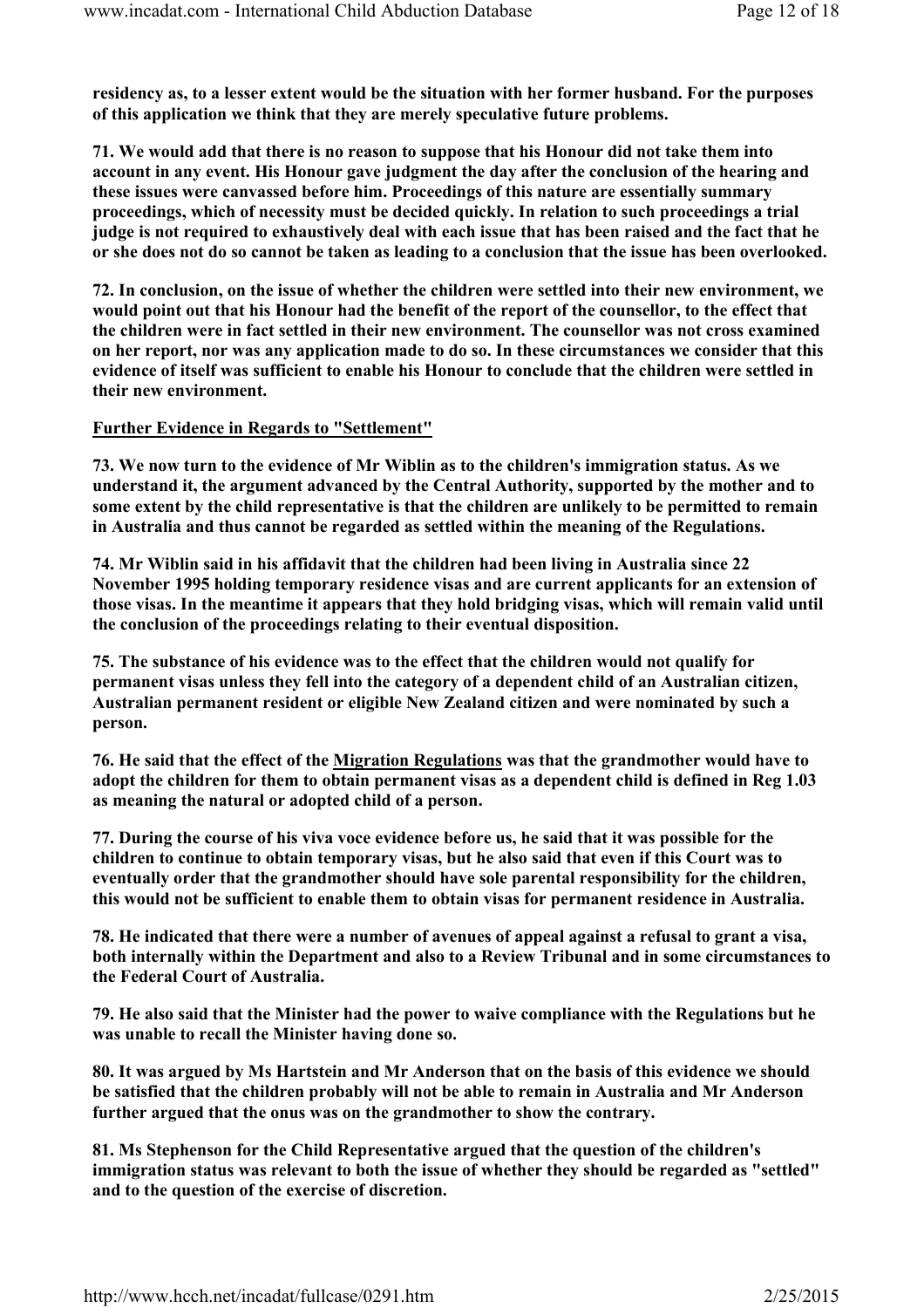residency as, to a lesser extent would be the situation with her former husband. For the purposes of this application we think that they are merely speculative future problems.

71. We would add that there is no reason to suppose that his Honour did not take them into account in any event. His Honour gave judgment the day after the conclusion of the hearing and these issues were canvassed before him. Proceedings of this nature are essentially summary proceedings, which of necessity must be decided quickly. In relation to such proceedings a trial judge is not required to exhaustively deal with each issue that has been raised and the fact that he or she does not do so cannot be taken as leading to a conclusion that the issue has been overlooked.

72. In conclusion, on the issue of whether the children were settled into their new environment, we would point out that his Honour had the benefit of the report of the counsellor, to the effect that the children were in fact settled in their new environment. The counsellor was not cross examined on her report, nor was any application made to do so. In these circumstances we consider that this evidence of itself was sufficient to enable his Honour to conclude that the children were settled in their new environment.

### Further Evidence in Regards to "Settlement"

73. We now turn to the evidence of Mr Wiblin as to the children's immigration status. As we understand it, the argument advanced by the Central Authority, supported by the mother and to some extent by the child representative is that the children are unlikely to be permitted to remain in Australia and thus cannot be regarded as settled within the meaning of the Regulations.

74. Mr Wiblin said in his affidavit that the children had been living in Australia since 22 November 1995 holding temporary residence visas and are current applicants for an extension of those visas. In the meantime it appears that they hold bridging visas, which will remain valid until the conclusion of the proceedings relating to their eventual disposition.

75. The substance of his evidence was to the effect that the children would not qualify for permanent visas unless they fell into the category of a dependent child of an Australian citizen, Australian permanent resident or eligible New Zealand citizen and were nominated by such a person.

76. He said that the effect of the Migration Regulations was that the grandmother would have to adopt the children for them to obtain permanent visas as a dependent child is defined in Reg 1.03 as meaning the natural or adopted child of a person.

77. During the course of his viva voce evidence before us, he said that it was possible for the children to continue to obtain temporary visas, but he also said that even if this Court was to eventually order that the grandmother should have sole parental responsibility for the children, this would not be sufficient to enable them to obtain visas for permanent residence in Australia.

78. He indicated that there were a number of avenues of appeal against a refusal to grant a visa, both internally within the Department and also to a Review Tribunal and in some circumstances to the Federal Court of Australia.

79. He also said that the Minister had the power to waive compliance with the Regulations but he was unable to recall the Minister having done so.

80. It was argued by Ms Hartstein and Mr Anderson that on the basis of this evidence we should be satisfied that the children probably will not be able to remain in Australia and Mr Anderson further argued that the onus was on the grandmother to show the contrary.

81. Ms Stephenson for the Child Representative argued that the question of the children's immigration status was relevant to both the issue of whether they should be regarded as "settled" and to the question of the exercise of discretion.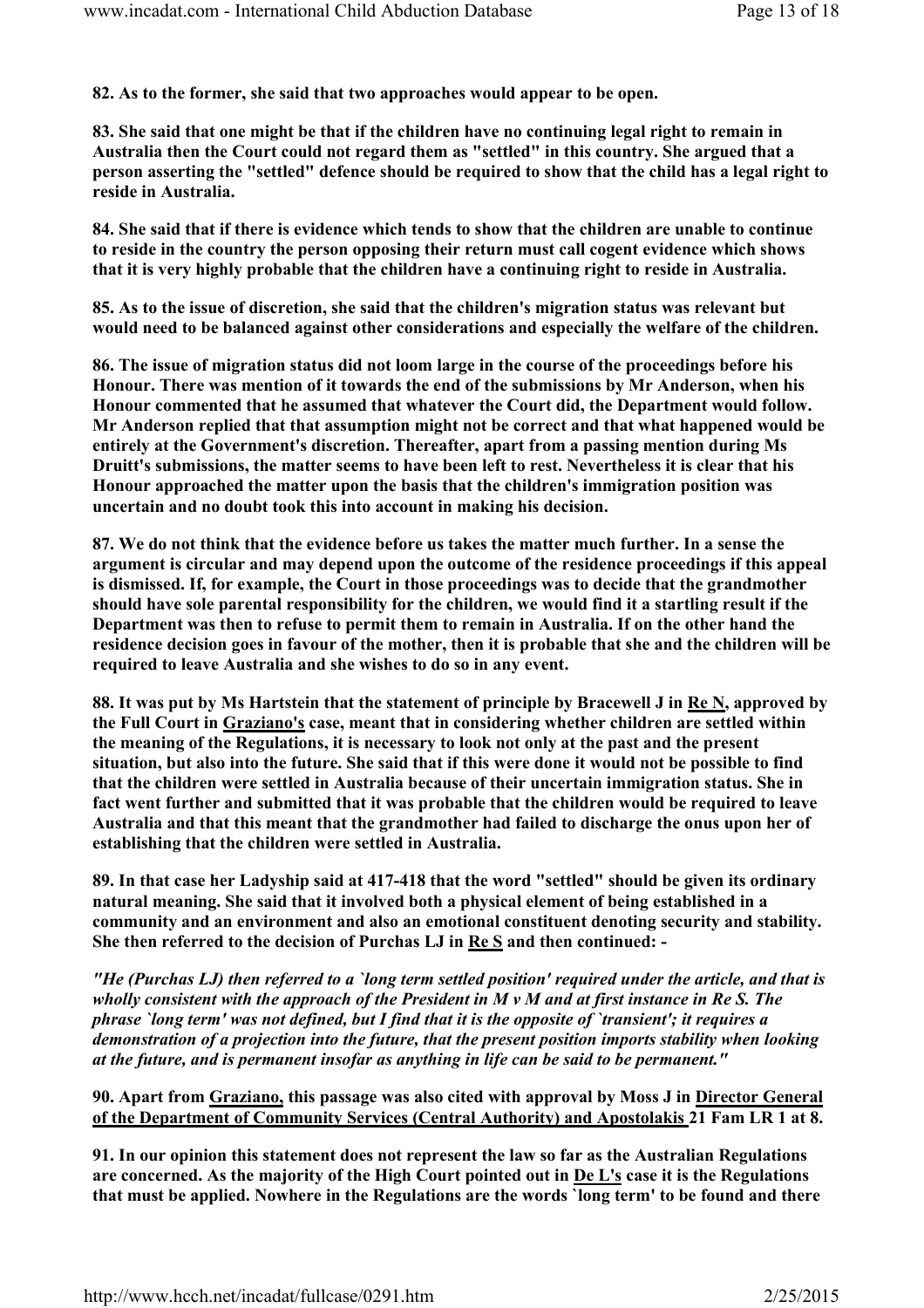82. As to the former, she said that two approaches would appear to be open.

83. She said that one might be that if the children have no continuing legal right to remain in Australia then the Court could not regard them as "settled" in this country. She argued that a person asserting the "settled" defence should be required to show that the child has a legal right to reside in Australia.

84. She said that if there is evidence which tends to show that the children are unable to continue to reside in the country the person opposing their return must call cogent evidence which shows that it is very highly probable that the children have a continuing right to reside in Australia.

85. As to the issue of discretion, she said that the children's migration status was relevant but would need to be balanced against other considerations and especially the welfare of the children.

86. The issue of migration status did not loom large in the course of the proceedings before his Honour. There was mention of it towards the end of the submissions by Mr Anderson, when his Honour commented that he assumed that whatever the Court did, the Department would follow. Mr Anderson replied that that assumption might not be correct and that what happened would be entirely at the Government's discretion. Thereafter, apart from a passing mention during Ms Druitt's submissions, the matter seems to have been left to rest. Nevertheless it is clear that his Honour approached the matter upon the basis that the children's immigration position was uncertain and no doubt took this into account in making his decision.

87. We do not think that the evidence before us takes the matter much further. In a sense the argument is circular and may depend upon the outcome of the residence proceedings if this appeal is dismissed. If, for example, the Court in those proceedings was to decide that the grandmother should have sole parental responsibility for the children, we would find it a startling result if the Department was then to refuse to permit them to remain in Australia. If on the other hand the residence decision goes in favour of the mother, then it is probable that she and the children will be required to leave Australia and she wishes to do so in any event.

88. It was put by Ms Hartstein that the statement of principle by Bracewell J in Re N, approved by the Full Court in Graziano's case, meant that in considering whether children are settled within the meaning of the Regulations, it is necessary to look not only at the past and the present situation, but also into the future. She said that if this were done it would not be possible to find that the children were settled in Australia because of their uncertain immigration status. She in fact went further and submitted that it was probable that the children would be required to leave Australia and that this meant that the grandmother had failed to discharge the onus upon her of establishing that the children were settled in Australia.

89. In that case her Ladyship said at 417-418 that the word "settled" should be given its ordinary natural meaning. She said that it involved both a physical element of being established in a community and an environment and also an emotional constituent denoting security and stability. She then referred to the decision of Purchas LJ in Re S and then continued: -

"He (Purchas LJ) then referred to a `long term settled position' required under the article, and that is wholly consistent with the approach of the President in  $M v M$  and at first instance in Re S. The phrase `long term' was not defined, but I find that it is the opposite of `transient'; it requires a demonstration of a projection into the future, that the present position imports stability when looking at the future, and is permanent insofar as anything in life can be said to be permanent."

90. Apart from Graziano, this passage was also cited with approval by Moss J in Director General of the Department of Community Services (Central Authority) and Apostolakis 21 Fam LR 1 at 8.

91. In our opinion this statement does not represent the law so far as the Australian Regulations are concerned. As the majority of the High Court pointed out in De L's case it is the Regulations that must be applied. Nowhere in the Regulations are the words `long term' to be found and there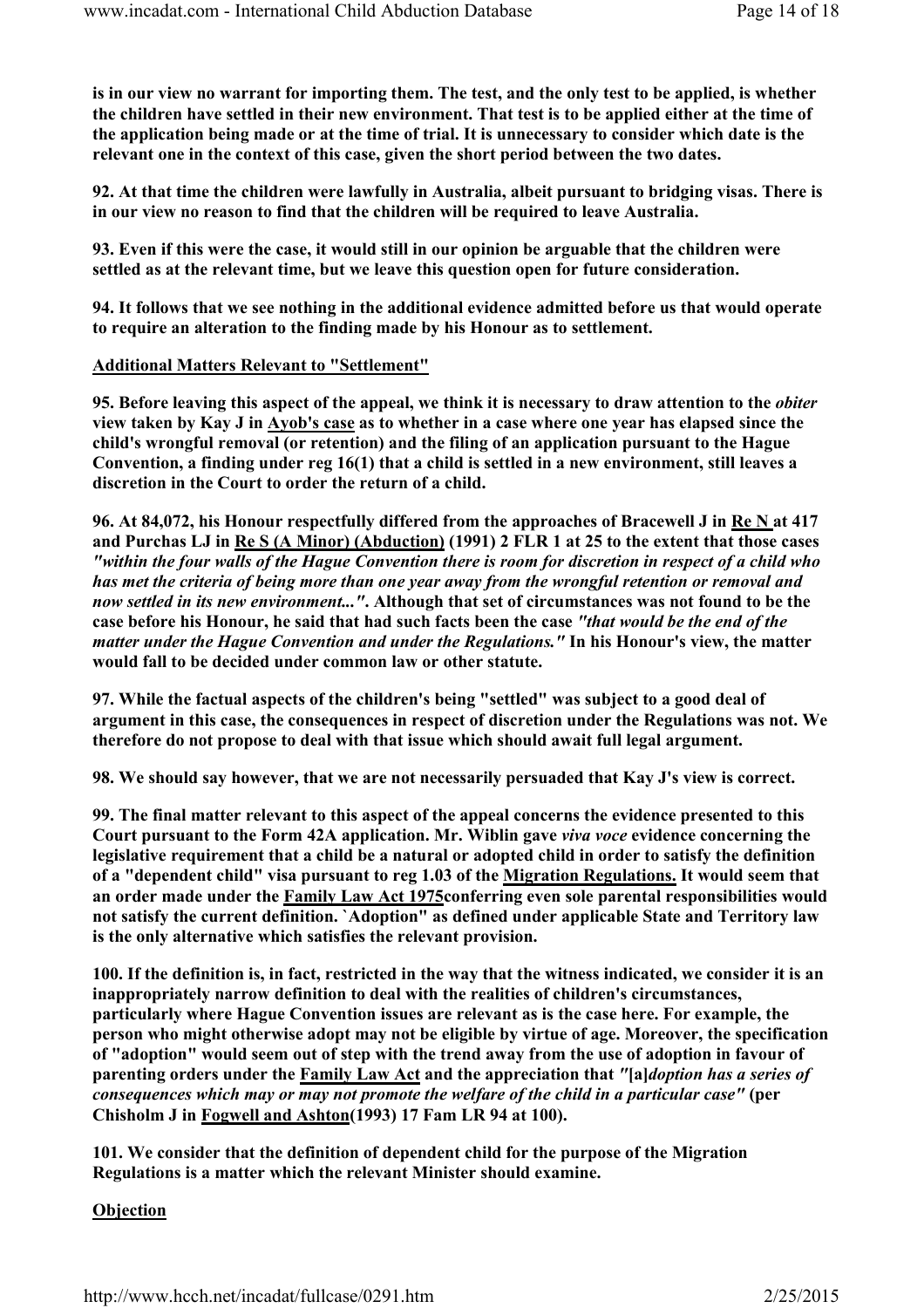is in our view no warrant for importing them. The test, and the only test to be applied, is whether the children have settled in their new environment. That test is to be applied either at the time of the application being made or at the time of trial. It is unnecessary to consider which date is the relevant one in the context of this case, given the short period between the two dates.

92. At that time the children were lawfully in Australia, albeit pursuant to bridging visas. There is in our view no reason to find that the children will be required to leave Australia.

93. Even if this were the case, it would still in our opinion be arguable that the children were settled as at the relevant time, but we leave this question open for future consideration.

94. It follows that we see nothing in the additional evidence admitted before us that would operate to require an alteration to the finding made by his Honour as to settlement.

#### Additional Matters Relevant to "Settlement"

95. Before leaving this aspect of the appeal, we think it is necessary to draw attention to the *obiter* view taken by Kay J in Ayob's case as to whether in a case where one year has elapsed since the child's wrongful removal (or retention) and the filing of an application pursuant to the Hague Convention, a finding under reg 16(1) that a child is settled in a new environment, still leaves a discretion in the Court to order the return of a child.

96. At 84,072, his Honour respectfully differed from the approaches of Bracewell J in Re N at 417 and Purchas LJ in Re S (A Minor) (Abduction) (1991) 2 FLR 1 at 25 to the extent that those cases "within the four walls of the Hague Convention there is room for discretion in respect of a child who has met the criteria of being more than one year away from the wrongful retention or removal and now settled in its new environment...". Although that set of circumstances was not found to be the case before his Honour, he said that had such facts been the case "that would be the end of the matter under the Hague Convention and under the Regulations." In his Honour's view, the matter would fall to be decided under common law or other statute.

97. While the factual aspects of the children's being "settled" was subject to a good deal of argument in this case, the consequences in respect of discretion under the Regulations was not. We therefore do not propose to deal with that issue which should await full legal argument.

98. We should say however, that we are not necessarily persuaded that Kay J's view is correct.

99. The final matter relevant to this aspect of the appeal concerns the evidence presented to this Court pursuant to the Form 42A application. Mr. Wiblin gave viva voce evidence concerning the legislative requirement that a child be a natural or adopted child in order to satisfy the definition of a "dependent child" visa pursuant to reg 1.03 of the Migration Regulations. It would seem that an order made under the Family Law Act 1975conferring even sole parental responsibilities would not satisfy the current definition. `Adoption" as defined under applicable State and Territory law is the only alternative which satisfies the relevant provision.

100. If the definition is, in fact, restricted in the way that the witness indicated, we consider it is an inappropriately narrow definition to deal with the realities of children's circumstances, particularly where Hague Convention issues are relevant as is the case here. For example, the person who might otherwise adopt may not be eligible by virtue of age. Moreover, the specification of "adoption" would seem out of step with the trend away from the use of adoption in favour of parenting orders under the Family Law Act and the appreciation that "[a]doption has a series of consequences which may or may not promote the welfare of the child in a particular case" (per Chisholm J in Fogwell and Ashton(1993) 17 Fam LR 94 at 100).

101. We consider that the definition of dependent child for the purpose of the Migration Regulations is a matter which the relevant Minister should examine.

#### Objection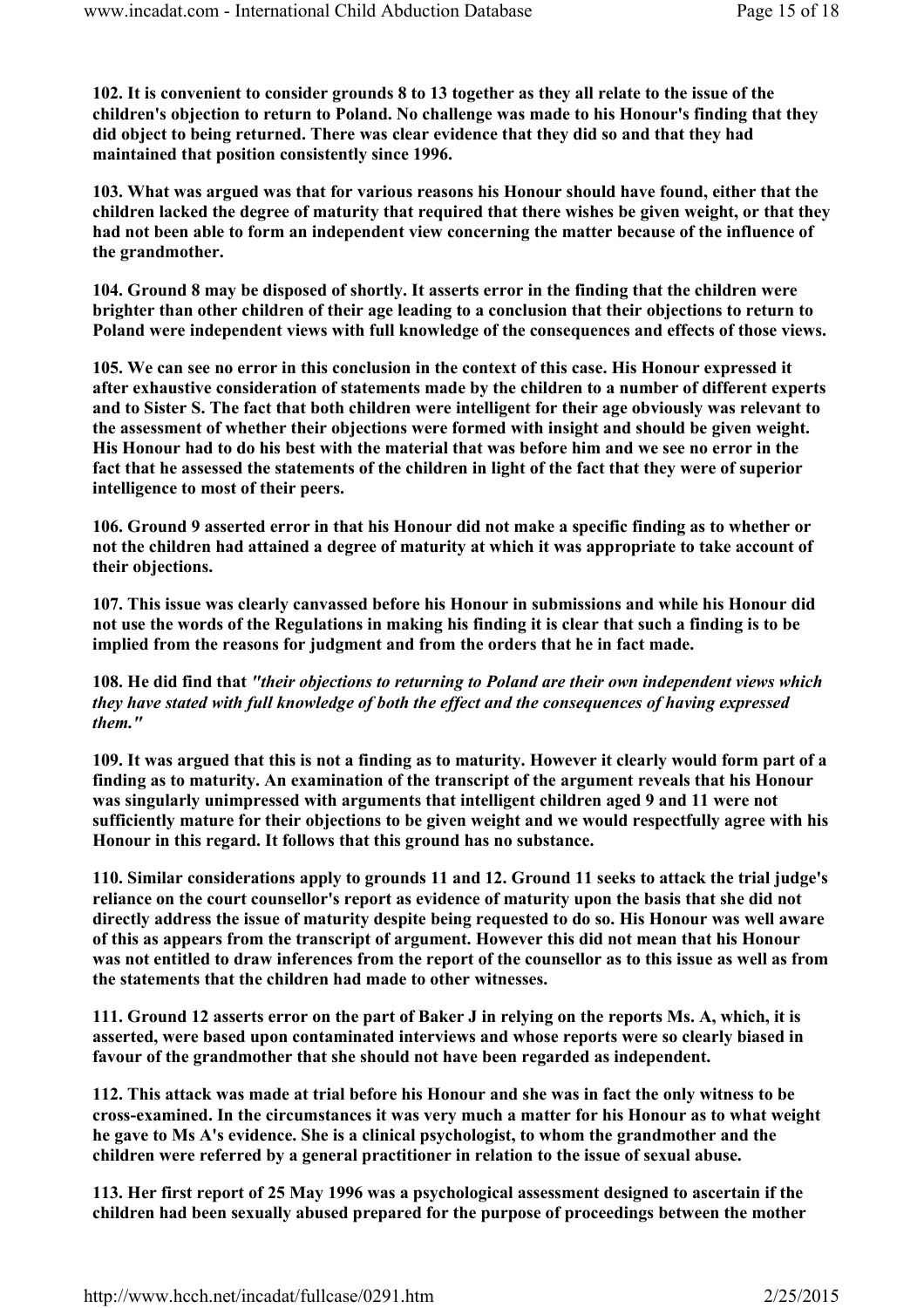102. It is convenient to consider grounds 8 to 13 together as they all relate to the issue of the children's objection to return to Poland. No challenge was made to his Honour's finding that they did object to being returned. There was clear evidence that they did so and that they had maintained that position consistently since 1996.

103. What was argued was that for various reasons his Honour should have found, either that the children lacked the degree of maturity that required that there wishes be given weight, or that they had not been able to form an independent view concerning the matter because of the influence of the grandmother.

104. Ground 8 may be disposed of shortly. It asserts error in the finding that the children were brighter than other children of their age leading to a conclusion that their objections to return to Poland were independent views with full knowledge of the consequences and effects of those views.

105. We can see no error in this conclusion in the context of this case. His Honour expressed it after exhaustive consideration of statements made by the children to a number of different experts and to Sister S. The fact that both children were intelligent for their age obviously was relevant to the assessment of whether their objections were formed with insight and should be given weight. His Honour had to do his best with the material that was before him and we see no error in the fact that he assessed the statements of the children in light of the fact that they were of superior intelligence to most of their peers.

106. Ground 9 asserted error in that his Honour did not make a specific finding as to whether or not the children had attained a degree of maturity at which it was appropriate to take account of their objections.

107. This issue was clearly canvassed before his Honour in submissions and while his Honour did not use the words of the Regulations in making his finding it is clear that such a finding is to be implied from the reasons for judgment and from the orders that he in fact made.

108. He did find that "their objections to returning to Poland are their own independent views which they have stated with full knowledge of both the effect and the consequences of having expressed them."

109. It was argued that this is not a finding as to maturity. However it clearly would form part of a finding as to maturity. An examination of the transcript of the argument reveals that his Honour was singularly unimpressed with arguments that intelligent children aged 9 and 11 were not sufficiently mature for their objections to be given weight and we would respectfully agree with his Honour in this regard. It follows that this ground has no substance.

110. Similar considerations apply to grounds 11 and 12. Ground 11 seeks to attack the trial judge's reliance on the court counsellor's report as evidence of maturity upon the basis that she did not directly address the issue of maturity despite being requested to do so. His Honour was well aware of this as appears from the transcript of argument. However this did not mean that his Honour was not entitled to draw inferences from the report of the counsellor as to this issue as well as from the statements that the children had made to other witnesses.

111. Ground 12 asserts error on the part of Baker J in relying on the reports Ms. A, which, it is asserted, were based upon contaminated interviews and whose reports were so clearly biased in favour of the grandmother that she should not have been regarded as independent.

112. This attack was made at trial before his Honour and she was in fact the only witness to be cross-examined. In the circumstances it was very much a matter for his Honour as to what weight he gave to Ms A's evidence. She is a clinical psychologist, to whom the grandmother and the children were referred by a general practitioner in relation to the issue of sexual abuse.

113. Her first report of 25 May 1996 was a psychological assessment designed to ascertain if the children had been sexually abused prepared for the purpose of proceedings between the mother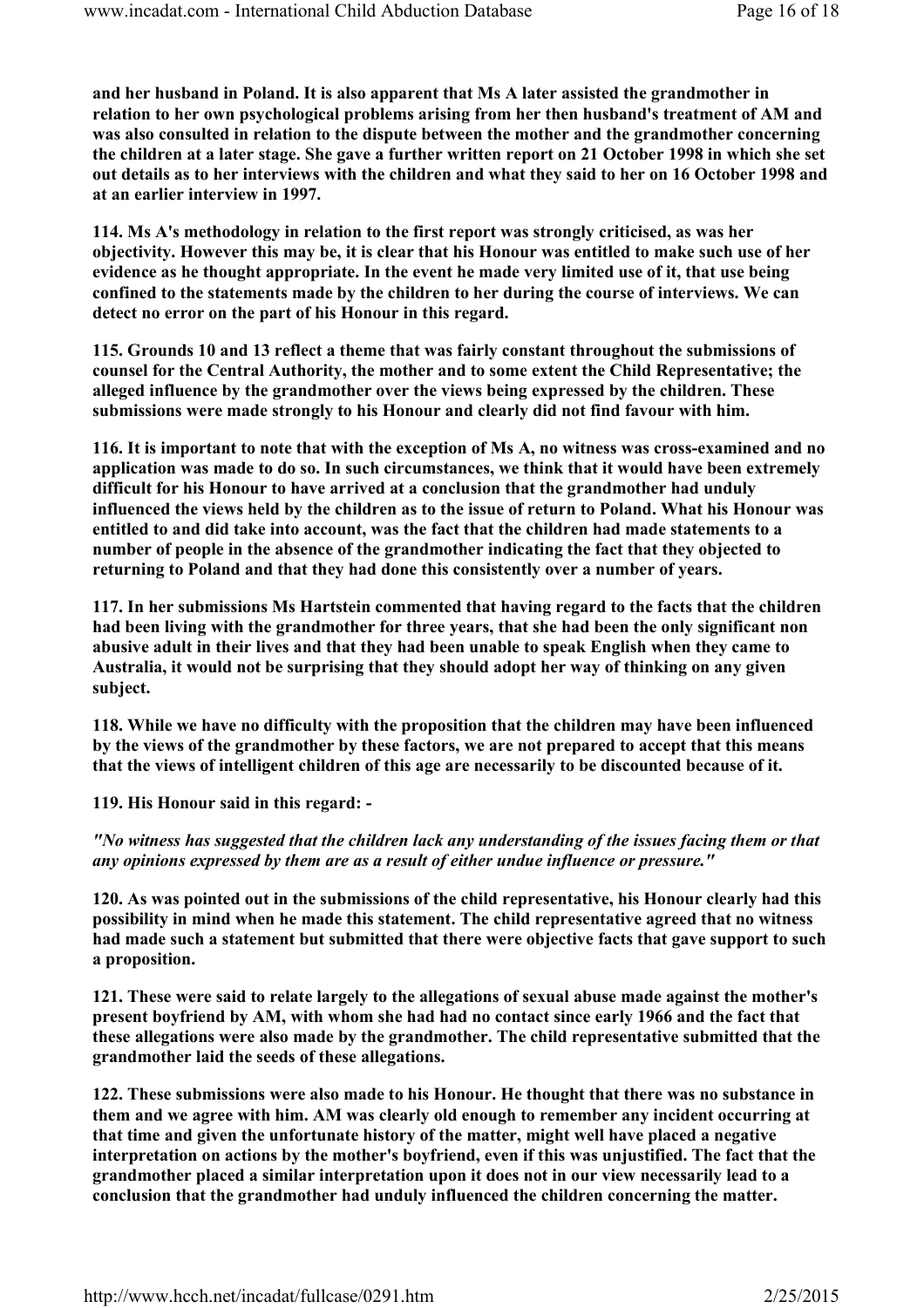and her husband in Poland. It is also apparent that Ms A later assisted the grandmother in relation to her own psychological problems arising from her then husband's treatment of AM and was also consulted in relation to the dispute between the mother and the grandmother concerning the children at a later stage. She gave a further written report on 21 October 1998 in which she set out details as to her interviews with the children and what they said to her on 16 October 1998 and at an earlier interview in 1997.

114. Ms A's methodology in relation to the first report was strongly criticised, as was her objectivity. However this may be, it is clear that his Honour was entitled to make such use of her evidence as he thought appropriate. In the event he made very limited use of it, that use being confined to the statements made by the children to her during the course of interviews. We can detect no error on the part of his Honour in this regard.

115. Grounds 10 and 13 reflect a theme that was fairly constant throughout the submissions of counsel for the Central Authority, the mother and to some extent the Child Representative; the alleged influence by the grandmother over the views being expressed by the children. These submissions were made strongly to his Honour and clearly did not find favour with him.

116. It is important to note that with the exception of Ms A, no witness was cross-examined and no application was made to do so. In such circumstances, we think that it would have been extremely difficult for his Honour to have arrived at a conclusion that the grandmother had unduly influenced the views held by the children as to the issue of return to Poland. What his Honour was entitled to and did take into account, was the fact that the children had made statements to a number of people in the absence of the grandmother indicating the fact that they objected to returning to Poland and that they had done this consistently over a number of years.

117. In her submissions Ms Hartstein commented that having regard to the facts that the children had been living with the grandmother for three years, that she had been the only significant non abusive adult in their lives and that they had been unable to speak English when they came to Australia, it would not be surprising that they should adopt her way of thinking on any given subject.

118. While we have no difficulty with the proposition that the children may have been influenced by the views of the grandmother by these factors, we are not prepared to accept that this means that the views of intelligent children of this age are necessarily to be discounted because of it.

119. His Honour said in this regard: -

"No witness has suggested that the children lack any understanding of the issues facing them or that any opinions expressed by them are as a result of either undue influence or pressure."

120. As was pointed out in the submissions of the child representative, his Honour clearly had this possibility in mind when he made this statement. The child representative agreed that no witness had made such a statement but submitted that there were objective facts that gave support to such a proposition.

121. These were said to relate largely to the allegations of sexual abuse made against the mother's present boyfriend by AM, with whom she had had no contact since early 1966 and the fact that these allegations were also made by the grandmother. The child representative submitted that the grandmother laid the seeds of these allegations.

122. These submissions were also made to his Honour. He thought that there was no substance in them and we agree with him. AM was clearly old enough to remember any incident occurring at that time and given the unfortunate history of the matter, might well have placed a negative interpretation on actions by the mother's boyfriend, even if this was unjustified. The fact that the grandmother placed a similar interpretation upon it does not in our view necessarily lead to a conclusion that the grandmother had unduly influenced the children concerning the matter.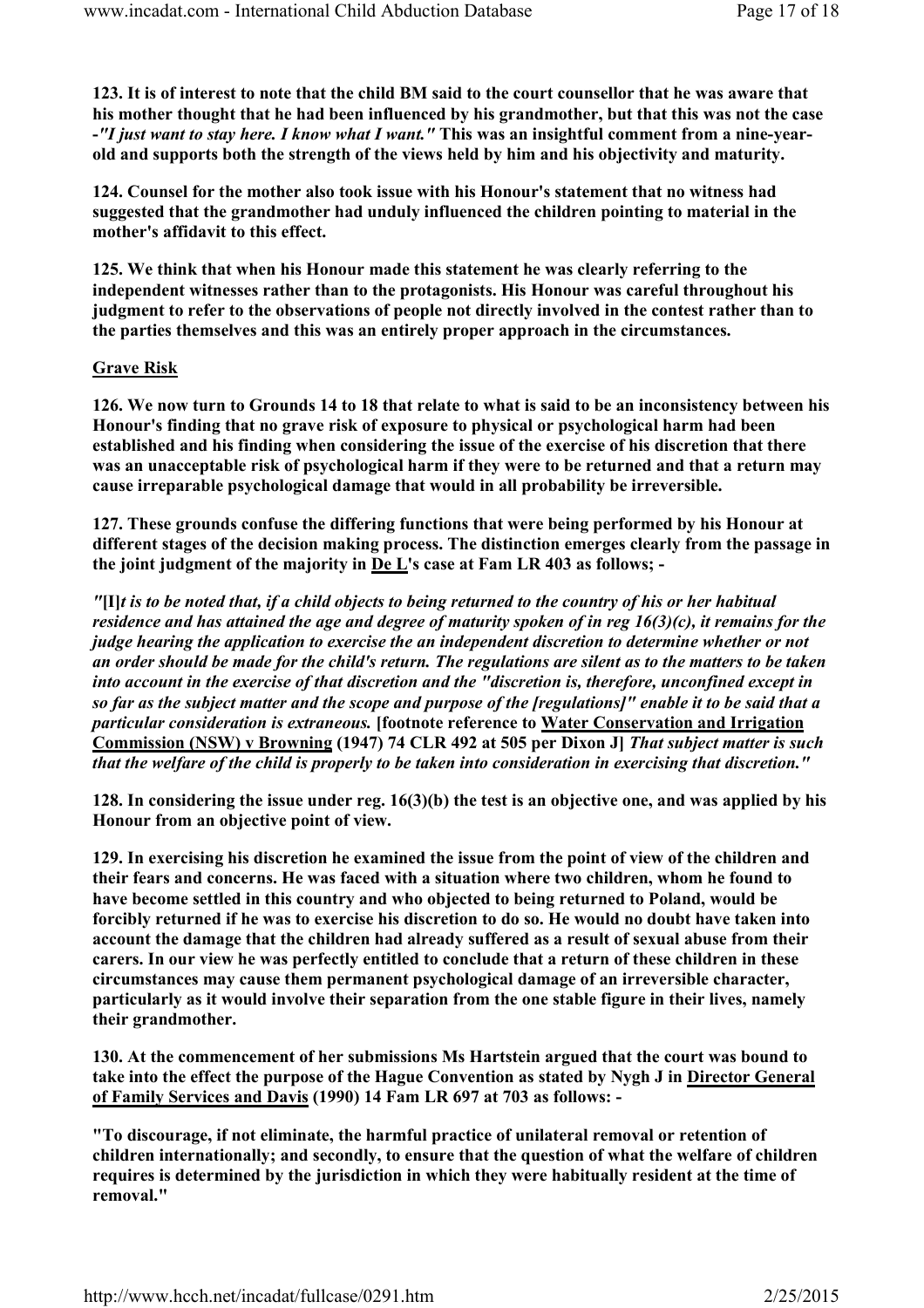123. It is of interest to note that the child BM said to the court counsellor that he was aware that his mother thought that he had been influenced by his grandmother, but that this was not the case -"I just want to stay here. I know what I want." This was an insightful comment from a nine-yearold and supports both the strength of the views held by him and his objectivity and maturity.

124. Counsel for the mother also took issue with his Honour's statement that no witness had suggested that the grandmother had unduly influenced the children pointing to material in the mother's affidavit to this effect.

125. We think that when his Honour made this statement he was clearly referring to the independent witnesses rather than to the protagonists. His Honour was careful throughout his judgment to refer to the observations of people not directly involved in the contest rather than to the parties themselves and this was an entirely proper approach in the circumstances.

#### Grave Risk

126. We now turn to Grounds 14 to 18 that relate to what is said to be an inconsistency between his Honour's finding that no grave risk of exposure to physical or psychological harm had been established and his finding when considering the issue of the exercise of his discretion that there was an unacceptable risk of psychological harm if they were to be returned and that a return may cause irreparable psychological damage that would in all probability be irreversible.

127. These grounds confuse the differing functions that were being performed by his Honour at different stages of the decision making process. The distinction emerges clearly from the passage in the joint judgment of the majority in De L's case at Fam LR 403 as follows; -

" $[II]$ t is to be noted that, if a child objects to being returned to the country of his or her habitual residence and has attained the age and degree of maturity spoken of in reg 16(3)(c), it remains for the judge hearing the application to exercise the an independent discretion to determine whether or not an order should be made for the child's return. The regulations are silent as to the matters to be taken into account in the exercise of that discretion and the "discretion is, therefore, unconfined except in so far as the subject matter and the scope and purpose of the [regulations]" enable it to be said that a particular consideration is extraneous. [footnote reference to Water Conservation and Irrigation Commission (NSW) v Browning (1947) 74 CLR 492 at 505 per Dixon J] That subject matter is such that the welfare of the child is properly to be taken into consideration in exercising that discretion."

128. In considering the issue under reg.  $16(3)(b)$  the test is an objective one, and was applied by his Honour from an objective point of view.

129. In exercising his discretion he examined the issue from the point of view of the children and their fears and concerns. He was faced with a situation where two children, whom he found to have become settled in this country and who objected to being returned to Poland, would be forcibly returned if he was to exercise his discretion to do so. He would no doubt have taken into account the damage that the children had already suffered as a result of sexual abuse from their carers. In our view he was perfectly entitled to conclude that a return of these children in these circumstances may cause them permanent psychological damage of an irreversible character, particularly as it would involve their separation from the one stable figure in their lives, namely their grandmother.

130. At the commencement of her submissions Ms Hartstein argued that the court was bound to take into the effect the purpose of the Hague Convention as stated by Nygh J in Director General of Family Services and Davis (1990) 14 Fam LR 697 at 703 as follows: -

"To discourage, if not eliminate, the harmful practice of unilateral removal or retention of children internationally; and secondly, to ensure that the question of what the welfare of children requires is determined by the jurisdiction in which they were habitually resident at the time of removal."